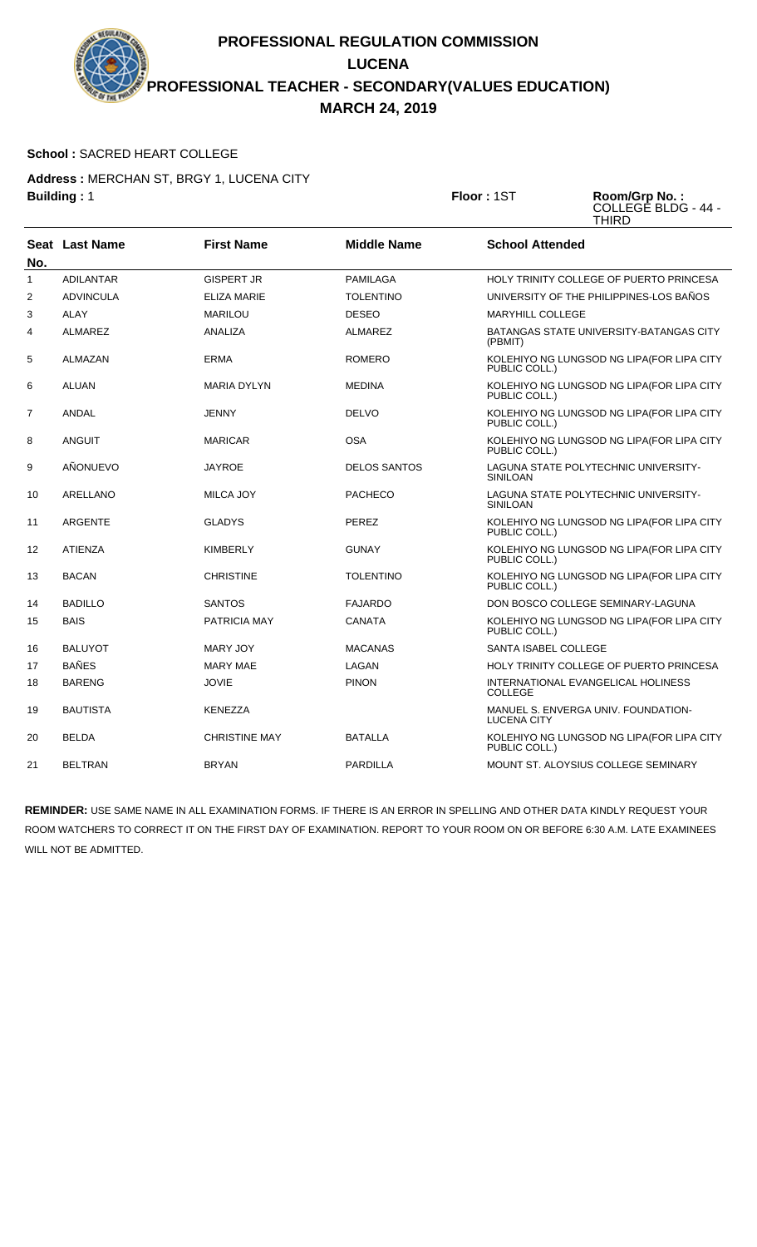## **School :** SACRED HEART COLLEGE

**Address :** MERCHAN ST, BRGY 1, LUCENA CITY **Building :** 1 **Floor :** 1ST **Room/Grp No. :**

COLLEGE BLDG - 44 - THIRD

| No. | <b>Seat Last Name</b> | <b>First Name</b>    | <b>Middle Name</b>  | <b>School Attended</b>                                     |
|-----|-----------------------|----------------------|---------------------|------------------------------------------------------------|
| 1   | <b>ADILANTAR</b>      | <b>GISPERT JR</b>    | <b>PAMILAGA</b>     | HOLY TRINITY COLLEGE OF PUERTO PRINCESA                    |
| 2   | <b>ADVINCULA</b>      | <b>ELIZA MARIE</b>   | <b>TOLENTINO</b>    | UNIVERSITY OF THE PHILIPPINES-LOS BAÑOS                    |
| 3   | ALAY                  | <b>MARILOU</b>       | <b>DESEO</b>        | <b>MARYHILL COLLEGE</b>                                    |
| 4   | ALMAREZ               | ANALIZA              | ALMAREZ             | BATANGAS STATE UNIVERSITY-BATANGAS CITY<br>(PBMIT)         |
| 5   | ALMAZAN               | <b>ERMA</b>          | <b>ROMERO</b>       | KOLEHIYO NG LUNGSOD NG LIPA(FOR LIPA CITY<br>PUBLIC COLL.) |
| 6   | ALUAN                 | <b>MARIA DYLYN</b>   | <b>MEDINA</b>       | KOLEHIYO NG LUNGSOD NG LIPA(FOR LIPA CITY<br>PUBLIC COLL.) |
| 7   | ANDAL                 | <b>JENNY</b>         | <b>DELVO</b>        | KOLEHIYO NG LUNGSOD NG LIPA(FOR LIPA CITY<br>PUBLIC COLL.) |
| 8   | <b>ANGUIT</b>         | <b>MARICAR</b>       | <b>OSA</b>          | KOLEHIYO NG LUNGSOD NG LIPA(FOR LIPA CITY<br>PUBLIC COLL.) |
| 9   | AÑONUEVO              | <b>JAYROE</b>        | <b>DELOS SANTOS</b> | LAGUNA STATE POLYTECHNIC UNIVERSITY-<br><b>SINILOAN</b>    |
| 10  | <b>ARELLANO</b>       | <b>MILCA JOY</b>     | <b>PACHECO</b>      | LAGUNA STATE POLYTECHNIC UNIVERSITY-<br><b>SINILOAN</b>    |
| 11  | <b>ARGENTE</b>        | <b>GLADYS</b>        | <b>PEREZ</b>        | KOLEHIYO NG LUNGSOD NG LIPA(FOR LIPA CITY<br>PUBLIC COLL.) |
| 12  | <b>ATIENZA</b>        | <b>KIMBERLY</b>      | <b>GUNAY</b>        | KOLEHIYO NG LUNGSOD NG LIPA(FOR LIPA CITY<br>PUBLIC COLL.) |
| 13  | <b>BACAN</b>          | <b>CHRISTINE</b>     | <b>TOLENTINO</b>    | KOLEHIYO NG LUNGSOD NG LIPA(FOR LIPA CITY<br>PUBLIC COLL.) |
| 14  | <b>BADILLO</b>        | <b>SANTOS</b>        | <b>FAJARDO</b>      | DON BOSCO COLLEGE SEMINARY-LAGUNA                          |
| 15  | <b>BAIS</b>           | <b>PATRICIA MAY</b>  | <b>CANATA</b>       | KOLEHIYO NG LUNGSOD NG LIPA(FOR LIPA CITY<br>PUBLIC COLL.) |
| 16  | <b>BALUYOT</b>        | MARY JOY             | <b>MACANAS</b>      | SANTA ISABEL COLLEGE                                       |
| 17  | <b>BAÑES</b>          | <b>MARY MAE</b>      | LAGAN               | HOLY TRINITY COLLEGE OF PUERTO PRINCESA                    |
| 18  | <b>BARENG</b>         | <b>JOVIE</b>         | <b>PINON</b>        | INTERNATIONAL EVANGELICAL HOLINESS<br><b>COLLEGE</b>       |
| 19  | <b>BAUTISTA</b>       | <b>KENEZZA</b>       |                     | MANUEL S. ENVERGA UNIV. FOUNDATION-<br><b>LUCENA CITY</b>  |
| 20  | <b>BELDA</b>          | <b>CHRISTINE MAY</b> | <b>BATALLA</b>      | KOLEHIYO NG LUNGSOD NG LIPA(FOR LIPA CITY<br>PUBLIC COLL.) |
| 21  | <b>BELTRAN</b>        | <b>BRYAN</b>         | <b>PARDILLA</b>     | MOUNT ST. ALOYSIUS COLLEGE SEMINARY                        |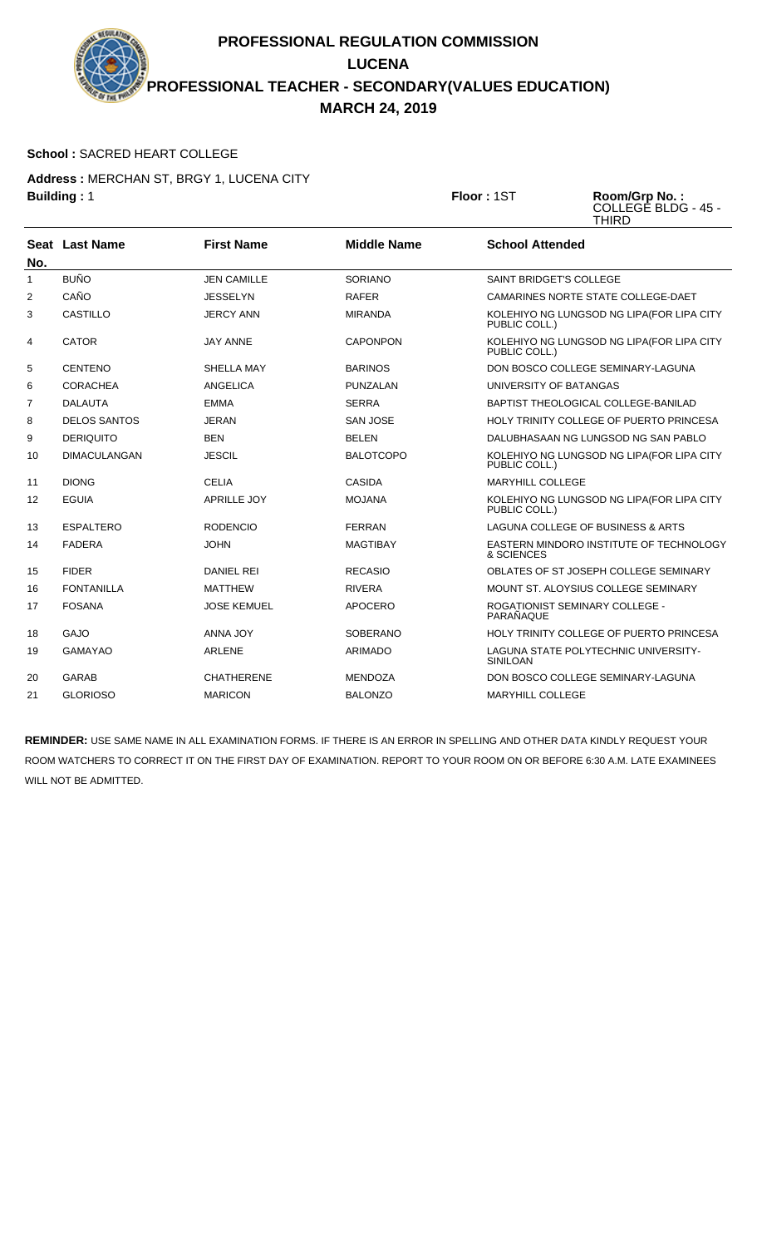| <b>PROFESSIONAL REGULATION COMMISSION</b>                  |
|------------------------------------------------------------|
| <b>LUCENA</b>                                              |
| <b>PROFESSIONAL TEACHER - SECONDARY (VALUES EDUCATION)</b> |
| <b>MARCH 24, 2019</b>                                      |

# **School :** SACRED HEART COLLEGE

**Address :** MERCHAN ST, BRGY 1, LUCENA CITY **Building :** 1 **Floor :** 1ST **Room/Grp No. :**

COLLEGE BLDG - 45 - THIRD

| No.          | Seat Last Name      | <b>First Name</b>  | <b>Middle Name</b> | <b>School Attended</b>                                     |
|--------------|---------------------|--------------------|--------------------|------------------------------------------------------------|
| $\mathbf{1}$ | <b>BUÑO</b>         | <b>JEN CAMILLE</b> | <b>SORIANO</b>     | <b>SAINT BRIDGET'S COLLEGE</b>                             |
| 2            | CAÑO                | <b>JESSELYN</b>    | <b>RAFER</b>       | CAMARINES NORTE STATE COLLEGE-DAET                         |
| 3            | <b>CASTILLO</b>     | <b>JERCY ANN</b>   | <b>MIRANDA</b>     | KOLEHIYO NG LUNGSOD NG LIPA(FOR LIPA CITY<br>PUBLIC COLL.) |
| 4            | <b>CATOR</b>        | <b>JAY ANNE</b>    | <b>CAPONPON</b>    | KOLEHIYO NG LUNGSOD NG LIPA(FOR LIPA CITY<br>PUBLIC COLL.) |
| 5            | <b>CENTENO</b>      | <b>SHELLA MAY</b>  | <b>BARINOS</b>     | DON BOSCO COLLEGE SEMINARY-LAGUNA                          |
| 6            | CORACHEA            | ANGELICA           | PUNZALAN           | UNIVERSITY OF BATANGAS                                     |
| 7            | <b>DALAUTA</b>      | <b>EMMA</b>        | <b>SERRA</b>       | BAPTIST THEOLOGICAL COLLEGE-BANILAD                        |
| 8            | <b>DELOS SANTOS</b> | <b>JERAN</b>       | <b>SAN JOSE</b>    | HOLY TRINITY COLLEGE OF PUERTO PRINCESA                    |
| 9            | <b>DERIQUITO</b>    | <b>BEN</b>         | <b>BELEN</b>       | DALUBHASAAN NG LUNGSOD NG SAN PABLO                        |
| 10           | <b>DIMACULANGAN</b> | <b>JESCIL</b>      | <b>BALOTCOPO</b>   | KOLEHIYO NG LUNGSOD NG LIPA(FOR LIPA CITY<br>PUBLIC COLL.) |
| 11           | <b>DIONG</b>        | <b>CELIA</b>       | CASIDA             | <b>MARYHILL COLLEGE</b>                                    |
| 12           | <b>EGUIA</b>        | <b>APRILLE JOY</b> | <b>MOJANA</b>      | KOLEHIYO NG LUNGSOD NG LIPA(FOR LIPA CITY<br>PUBLIC COLL.) |
| 13           | <b>ESPALTERO</b>    | <b>RODENCIO</b>    | <b>FERRAN</b>      | LAGUNA COLLEGE OF BUSINESS & ARTS                          |
| 14           | <b>FADERA</b>       | <b>JOHN</b>        | <b>MAGTIBAY</b>    | EASTERN MINDORO INSTITUTE OF TECHNOLOGY<br>& SCIENCES      |
| 15           | <b>FIDER</b>        | <b>DANIEL REI</b>  | <b>RECASIO</b>     | OBLATES OF ST JOSEPH COLLEGE SEMINARY                      |
| 16           | <b>FONTANILLA</b>   | <b>MATTHEW</b>     | <b>RIVERA</b>      | MOUNT ST. ALOYSIUS COLLEGE SEMINARY                        |
| 17           | <b>FOSANA</b>       | <b>JOSE KEMUEL</b> | <b>APOCERO</b>     | <b>ROGATIONIST SEMINARY COLLEGE -</b><br>PARAÑAQUE         |
| 18           | <b>GAJO</b>         | ANNA JOY           | <b>SOBERANO</b>    | HOLY TRINITY COLLEGE OF PUERTO PRINCESA                    |
| 19           | <b>GAMAYAO</b>      | <b>ARLENE</b>      | <b>ARIMADO</b>     | LAGUNA STATE POLYTECHNIC UNIVERSITY-<br><b>SINILOAN</b>    |
| 20           | <b>GARAB</b>        | <b>CHATHERENE</b>  | <b>MENDOZA</b>     | DON BOSCO COLLEGE SEMINARY-LAGUNA                          |
| 21           | <b>GLORIOSO</b>     | <b>MARICON</b>     | <b>BALONZO</b>     | <b>MARYHILL COLLEGE</b>                                    |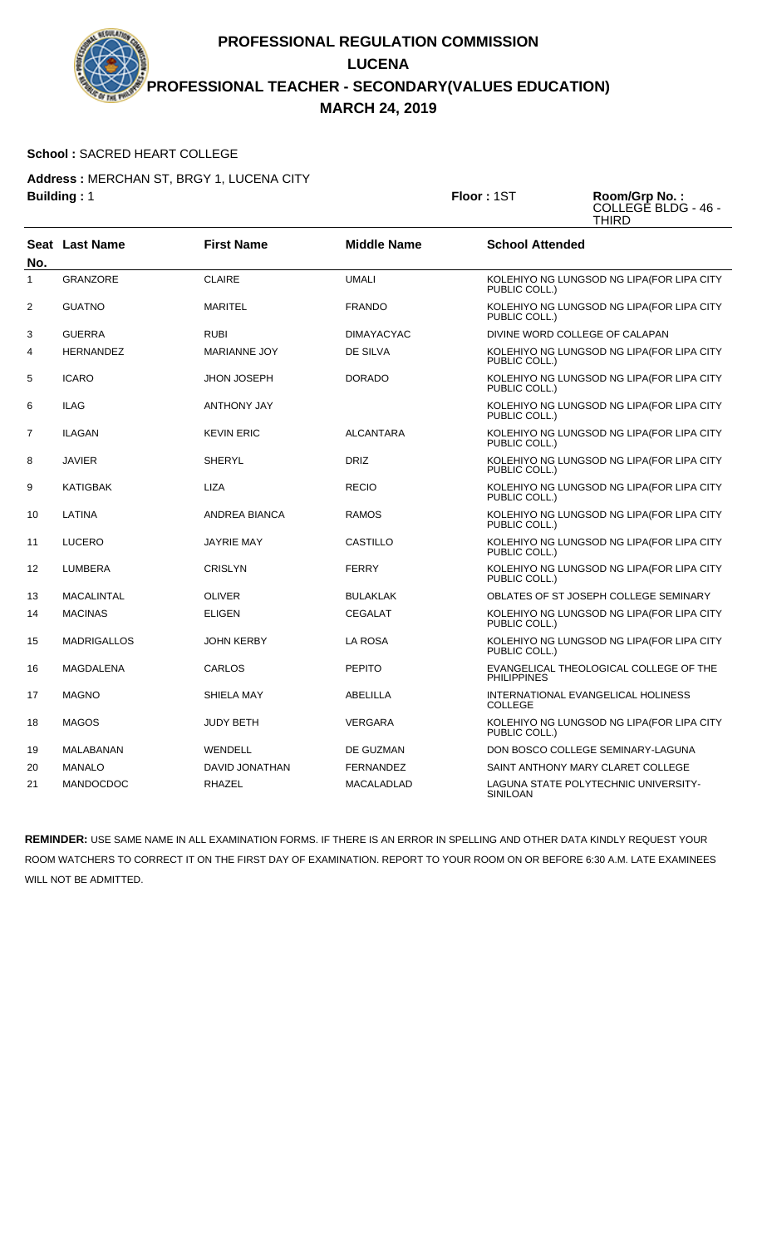## **School :** SACRED HEART COLLEGE

**Address :** MERCHAN ST, BRGY 1, LUCENA CITY **Building :** 1 **Floor :** 1ST **Room/Grp No. :**

COLLEGE BLDG - 46 - THIRD

| No.          | Seat Last Name     | <b>First Name</b>   | <b>Middle Name</b> | <b>School Attended</b>                                       |
|--------------|--------------------|---------------------|--------------------|--------------------------------------------------------------|
| $\mathbf{1}$ | <b>GRANZORE</b>    | <b>CLAIRE</b>       | <b>UMALI</b>       | KOLEHIYO NG LUNGSOD NG LIPA(FOR LIPA CITY<br>PUBLIC COLL.)   |
| 2            | <b>GUATNO</b>      | <b>MARITEL</b>      | <b>FRANDO</b>      | KOLEHIYO NG LUNGSOD NG LIPA(FOR LIPA CITY<br>PUBLIC COLL.)   |
| 3            | <b>GUERRA</b>      | <b>RUBI</b>         | <b>DIMAYACYAC</b>  | DIVINE WORD COLLEGE OF CALAPAN                               |
| 4            | <b>HERNANDEZ</b>   | <b>MARIANNE JOY</b> | <b>DE SILVA</b>    | KOLEHIYO NG LUNGSOD NG LIPA(FOR LIPA CITY<br>PUBLIC COLL.)   |
| 5            | <b>ICARO</b>       | <b>JHON JOSEPH</b>  | <b>DORADO</b>      | KOLEHIYO NG LUNGSOD NG LIPA(FOR LIPA CITY<br>PUBLIC COLL.)   |
| 6            | <b>ILAG</b>        | <b>ANTHONY JAY</b>  |                    | KOLEHIYO NG LUNGSOD NG LIPA(FOR LIPA CITY<br>PUBLIC COLL.)   |
| 7            | <b>ILAGAN</b>      | <b>KEVIN ERIC</b>   | <b>ALCANTARA</b>   | KOLEHIYO NG LUNGSOD NG LIPA(FOR LIPA CITY<br>PUBLIC COLL.)   |
| 8            | <b>JAVIER</b>      | <b>SHERYL</b>       | <b>DRIZ</b>        | KOLEHIYO NG LUNGSOD NG LIPA(FOR LIPA CITY<br>PUBLIC COLL.)   |
| 9            | <b>KATIGBAK</b>    | <b>LIZA</b>         | <b>RECIO</b>       | KOLEHIYO NG LUNGSOD NG LIPA(FOR LIPA CITY<br>PUBLIC COLL.)   |
| 10           | LATINA             | ANDREA BIANCA       | RAMOS              | KOLEHIYO NG LUNGSOD NG LIPA(FOR LIPA CITY<br>PUBLIC COLL.)   |
| 11           | <b>LUCERO</b>      | <b>JAYRIE MAY</b>   | <b>CASTILLO</b>    | KOLEHIYO NG LUNGSOD NG LIPA(FOR LIPA CITY<br>PUBLIC COLL.)   |
| 12           | LUMBERA            | <b>CRISLYN</b>      | <b>FERRY</b>       | KOLEHIYO NG LUNGSOD NG LIPA(FOR LIPA CITY<br>PUBLIC COLL.)   |
| 13           | <b>MACALINTAL</b>  | <b>OLIVER</b>       | <b>BULAKLAK</b>    | OBLATES OF ST JOSEPH COLLEGE SEMINARY                        |
| 14           | <b>MACINAS</b>     | <b>ELIGEN</b>       | <b>CEGALAT</b>     | KOLEHIYO NG LUNGSOD NG LIPA(FOR LIPA CITY<br>PUBLIC COLL.)   |
| 15           | <b>MADRIGALLOS</b> | <b>JOHN KERBY</b>   | <b>LA ROSA</b>     | KOLEHIYO NG LUNGSOD NG LIPA(FOR LIPA CITY<br>PUBLIC COLL.)   |
| 16           | <b>MAGDALENA</b>   | CARLOS              | <b>PEPITO</b>      | EVANGELICAL THEOLOGICAL COLLEGE OF THE<br><b>PHILIPPINES</b> |
| 17           | <b>MAGNO</b>       | SHIELA MAY          | <b>ABELILLA</b>    | INTERNATIONAL EVANGELICAL HOLINESS<br><b>COLLEGE</b>         |
| 18           | <b>MAGOS</b>       | <b>JUDY BETH</b>    | <b>VERGARA</b>     | KOLEHIYO NG LUNGSOD NG LIPA(FOR LIPA CITY<br>PUBLIC COLL.)   |
| 19           | MALABANAN          | <b>WENDELL</b>      | DE GUZMAN          | DON BOSCO COLLEGE SEMINARY-LAGUNA                            |
| 20           | <b>MANALO</b>      | DAVID JONATHAN      | FERNANDEZ          | SAINT ANTHONY MARY CLARET COLLEGE                            |
| 21           | <b>MANDOCDOC</b>   | <b>RHAZEL</b>       | <b>MACALADLAD</b>  | LAGUNA STATE POLYTECHNIC UNIVERSITY-<br><b>SINILOAN</b>      |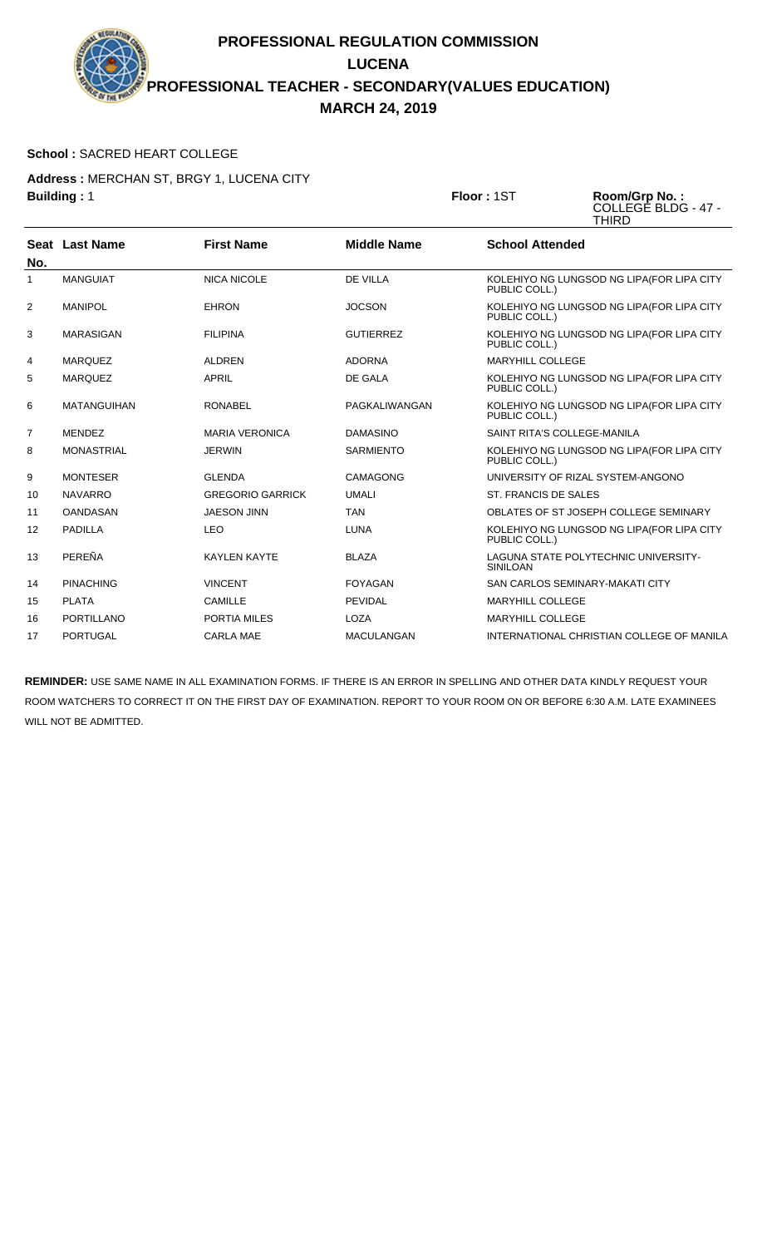## **School :** SACRED HEART COLLEGE

**Address :** MERCHAN ST, BRGY 1, LUCENA CITY **Building : 1** 

| Floor: 1ST | Room/Grp No.:       |
|------------|---------------------|
|            | COLLEGE BLDG - 47 - |
|            | <b>THIRD</b>        |

| No. | Seat Last Name     | <b>First Name</b>       | <b>Middle Name</b> | <b>School Attended</b>                                      |
|-----|--------------------|-------------------------|--------------------|-------------------------------------------------------------|
| 1   | <b>MANGUIAT</b>    | <b>NICA NICOLE</b>      | DE VILLA           | KOLEHIYO NG LUNGSOD NG LIPA(FOR LIPA CITY<br>PUBLIC COLL.)  |
| 2   | <b>MANIPOL</b>     | <b>EHRON</b>            | <b>JOCSON</b>      | KOLEHIYO NG LUNGSOD NG LIPA(FOR LIPA CITY<br>PUBLIC COLL.)  |
| 3   | <b>MARASIGAN</b>   | <b>FILIPINA</b>         | <b>GUTIERREZ</b>   | KOLEHIYO NG LUNGSOD NG LIPA(FOR LIPA CITY<br>PUBLIC COLL.)  |
| 4   | <b>MARQUEZ</b>     | <b>ALDREN</b>           | <b>ADORNA</b>      | <b>MARYHILL COLLEGE</b>                                     |
| 5   | <b>MARQUEZ</b>     | <b>APRIL</b>            | DE GALA            | KOLEHIYO NG LUNGSOD NG LIPA (FOR LIPA CITY<br>PUBLIC COLL.) |
| 6   | <b>MATANGUIHAN</b> | <b>RONABEL</b>          | PAGKALIWANGAN      | KOLEHIYO NG LUNGSOD NG LIPA(FOR LIPA CITY<br>PUBLIC COLL.)  |
| 7   | <b>MENDEZ</b>      | <b>MARIA VERONICA</b>   | <b>DAMASINO</b>    | SAINT RITA'S COLLEGE-MANILA                                 |
| 8   | <b>MONASTRIAL</b>  | <b>JERWIN</b>           | <b>SARMIENTO</b>   | KOLEHIYO NG LUNGSOD NG LIPA(FOR LIPA CITY<br>PUBLIC COLL.)  |
| 9   | <b>MONTESER</b>    | <b>GLENDA</b>           | CAMAGONG           | UNIVERSITY OF RIZAL SYSTEM-ANGONO                           |
| 10  | <b>NAVARRO</b>     | <b>GREGORIO GARRICK</b> | <b>UMALI</b>       | <b>ST. FRANCIS DE SALES</b>                                 |
| 11  | <b>OANDASAN</b>    | <b>JAESON JINN</b>      | <b>TAN</b>         | OBLATES OF ST JOSEPH COLLEGE SEMINARY                       |
| 12  | <b>PADILLA</b>     | <b>LEO</b>              | <b>LUNA</b>        | KOLEHIYO NG LUNGSOD NG LIPA(FOR LIPA CITY<br>PUBLIC COLL.)  |
| 13  | PEREÑA             | <b>KAYLEN KAYTE</b>     | <b>BLAZA</b>       | LAGUNA STATE POLYTECHNIC UNIVERSITY-<br><b>SINILOAN</b>     |
| 14  | <b>PINACHING</b>   | <b>VINCENT</b>          | <b>FOYAGAN</b>     | <b>SAN CARLOS SEMINARY-MAKATI CITY</b>                      |
| 15  | <b>PLATA</b>       | <b>CAMILLE</b>          | PEVIDAL            | <b>MARYHILL COLLEGE</b>                                     |
| 16  | <b>PORTILLANO</b>  | PORTIA MILES            | <b>LOZA</b>        | <b>MARYHILL COLLEGE</b>                                     |
| 17  | <b>PORTUGAL</b>    | <b>CARLA MAE</b>        | <b>MACULANGAN</b>  | INTERNATIONAL CHRISTIAN COLLEGE OF MANILA                   |